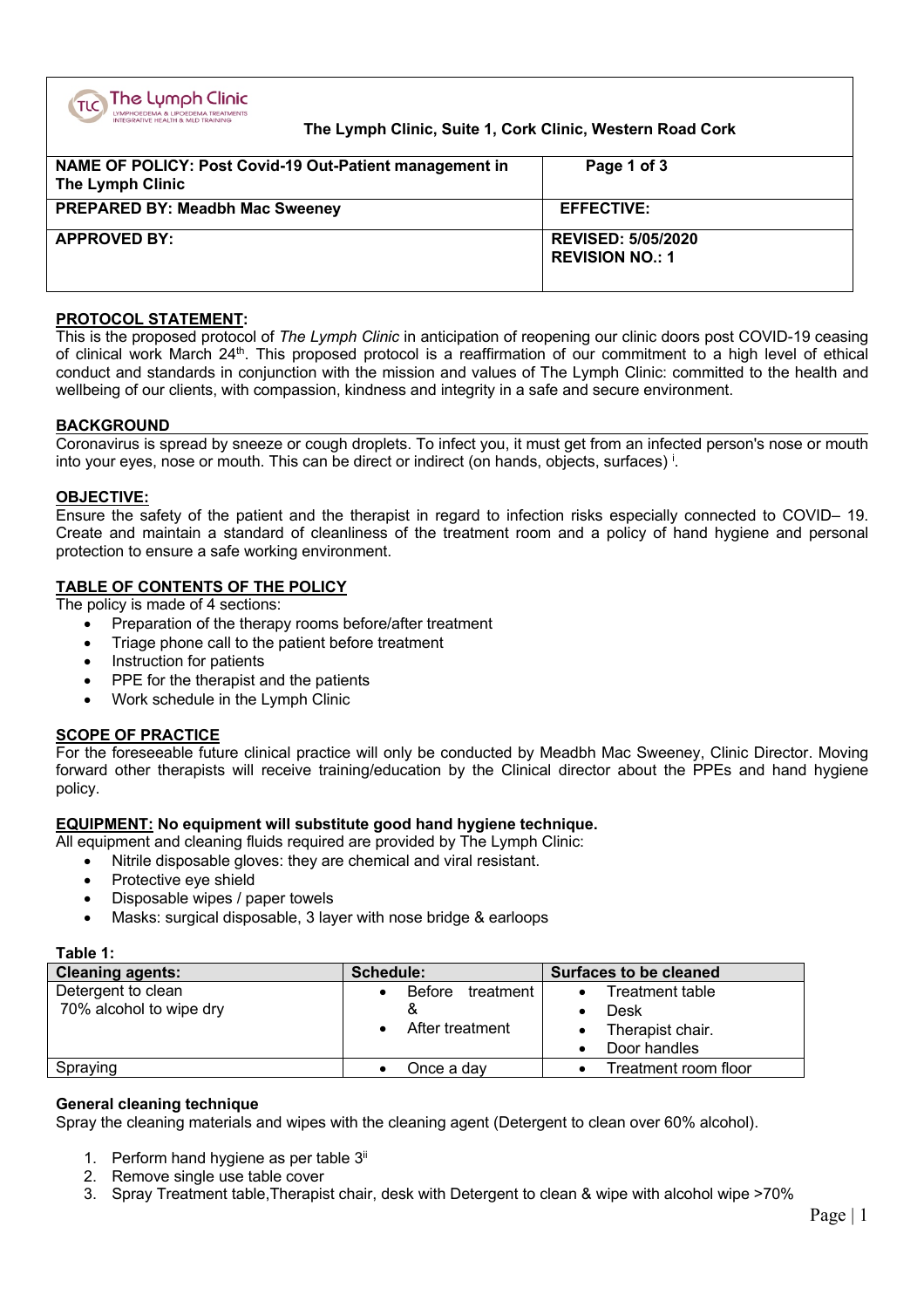

# **The Lymph Clinic, Suite 1, Cork Clinic, Western Road Cork**

| NAME OF POLICY: Post Covid-19 Out-Patient management in<br>The Lymph Clinic | Page 1 of 3                                         |
|-----------------------------------------------------------------------------|-----------------------------------------------------|
| <b>PREPARED BY: Meadbh Mac Sweeney</b>                                      | <b>EFFECTIVE:</b>                                   |
| <b>APPROVED BY:</b>                                                         | <b>REVISED: 5/05/2020</b><br><b>REVISION NO.: 1</b> |

## **PROTOCOL STATEMENT:**

This is the proposed protocol of *The Lymph Clinic* in anticipation of reopening our clinic doors post COVID-19 ceasing of clinical work March 24<sup>th</sup>. This proposed protocol is a reaffirmation of our commitment to a high level of ethical conduct and standards in conjunction with the mission and values of The Lymph Clinic: committed to the health and wellbeing of our clients, with compassion, kindness and integrity in a safe and secure environment.

## **BACKGROUND**

Coronavirus is spread by sneeze or cough droplets. To infect you, it must get from an infected person's nose or mouth into your eyes, nose or mouth. This can be direct or indirect (on hands, objects, surfaces) i.

#### **OBJECTIVE:**

Ensure the safety of the patient and the therapist in regard to infection risks especially connected to COVID– 19. Create and maintain a standard of cleanliness of the treatment room and a policy of hand hygiene and personal protection to ensure a safe working environment.

## **TABLE OF CONTENTS OF THE POLICY**

The policy is made of 4 sections:

- Preparation of the therapy rooms before/after treatment
- Triage phone call to the patient before treatment
- Instruction for patients
- PPE for the therapist and the patients
- Work schedule in the Lymph Clinic

# **SCOPE OF PRACTICE**

For the foreseeable future clinical practice will only be conducted by Meadbh Mac Sweeney, Clinic Director. Moving forward other therapists will receive training/education by the Clinical director about the PPEs and hand hygiene policy.

# **EQUIPMENT: No equipment will substitute good hand hygiene technique.**

All equipment and cleaning fluids required are provided by The Lymph Clinic:

- Nitrile disposable gloves: they are chemical and viral resistant.
- Protective eve shield
- Disposable wipes / paper towels
- Masks: surgical disposable, 3 layer with nose bridge & earloops

#### **Table 1:**

| <b>Cleaning agents:</b> | Schedule:           | <b>Surfaces to be cleaned</b> |  |  |
|-------------------------|---------------------|-------------------------------|--|--|
| Detergent to clean      | Before<br>treatment | Treatment table               |  |  |
| 70% alcohol to wipe dry |                     | Desk                          |  |  |
|                         | After treatment     | Therapist chair.              |  |  |
|                         |                     | Door handles                  |  |  |
| Spraying                | Once a day          | Treatment room floor          |  |  |

#### **General cleaning technique**

Spray the cleaning materials and wipes with the cleaning agent (Detergent to clean over 60% alcohol).

- 1. Perform hand hygiene as per table 3<sup>ii</sup>
- 2. Remove single use table cover
- 3. Spray Treatment table,Therapist chair, desk with Detergent to clean & wipe with alcohol wipe >70%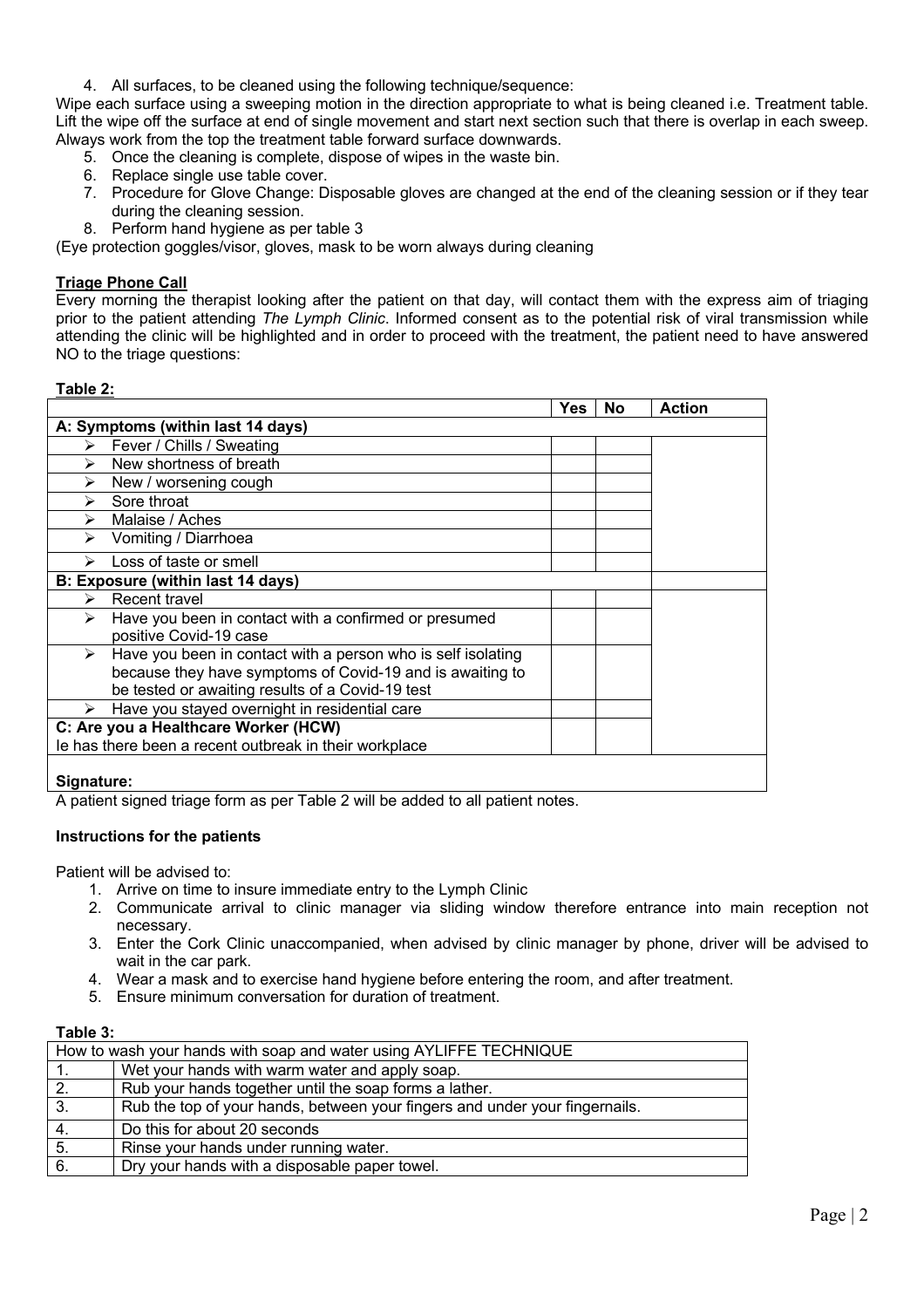4. All surfaces, to be cleaned using the following technique/sequence:

Wipe each surface using a sweeping motion in the direction appropriate to what is being cleaned i.e. Treatment table. Lift the wipe off the surface at end of single movement and start next section such that there is overlap in each sweep. Always work from the top the treatment table forward surface downwards.

- 5. Once the cleaning is complete, dispose of wipes in the waste bin.
- 6. Replace single use table cover.
- 7. Procedure for Glove Change: Disposable gloves are changed at the end of the cleaning session or if they tear during the cleaning session.
- 8. Perform hand hygiene as per table 3

(Eye protection goggles/visor, gloves, mask to be worn always during cleaning

### **Triage Phone Call**

Every morning the therapist looking after the patient on that day, will contact them with the express aim of triaging prior to the patient attending *The Lymph Clinic*. Informed consent as to the potential risk of viral transmission while attending the clinic will be highlighted and in order to proceed with the treatment, the patient need to have answered NO to the triage questions:

#### **Table 2:**

|            |                                                                                                                           | <b>Yes</b> | <b>No</b> | <b>Action</b> |
|------------|---------------------------------------------------------------------------------------------------------------------------|------------|-----------|---------------|
|            | A: Symptoms (within last 14 days)                                                                                         |            |           |               |
| ⋗          | Fever / Chills / Sweating                                                                                                 |            |           |               |
| ➤          | New shortness of breath                                                                                                   |            |           |               |
| ➤          | New / worsening cough                                                                                                     |            |           |               |
| ≻          | Sore throat                                                                                                               |            |           |               |
| ➤          | Malaise / Aches                                                                                                           |            |           |               |
| ➤          | Vomiting / Diarrhoea                                                                                                      |            |           |               |
|            | Loss of taste or smell                                                                                                    |            |           |               |
|            | B: Exposure (within last 14 days)                                                                                         |            |           |               |
| ⋗          | Recent travel                                                                                                             |            |           |               |
| ⋗          | Have you been in contact with a confirmed or presumed<br>positive Covid-19 case                                           |            |           |               |
| ≻          | Have you been in contact with a person who is self isolating<br>because they have symptoms of Covid-19 and is awaiting to |            |           |               |
|            | be tested or awaiting results of a Covid-19 test                                                                          |            |           |               |
|            | Have you stayed overnight in residential care                                                                             |            |           |               |
|            | C: Are you a Healthcare Worker (HCW)                                                                                      |            |           |               |
|            | le has there been a recent outbreak in their workplace                                                                    |            |           |               |
| Signature: |                                                                                                                           |            |           |               |

A patient signed triage form as per Table 2 will be added to all patient notes.

#### **Instructions for the patients**

Patient will be advised to:

- 1. Arrive on time to insure immediate entry to the Lymph Clinic
- 2. Communicate arrival to clinic manager via sliding window therefore entrance into main reception not necessary.
- 3. Enter the Cork Clinic unaccompanied, when advised by clinic manager by phone, driver will be advised to wait in the car park.
- 4. Wear a mask and to exercise hand hygiene before entering the room, and after treatment.
- 5. Ensure minimum conversation for duration of treatment.

# **Table 3:**

| How to wash your hands with soap and water using AYLIFFE TECHNIQUE |                                                                             |  |  |  |  |
|--------------------------------------------------------------------|-----------------------------------------------------------------------------|--|--|--|--|
|                                                                    | Wet your hands with warm water and apply soap.                              |  |  |  |  |
| 2.                                                                 | Rub your hands together until the soap forms a lather.                      |  |  |  |  |
| 3.                                                                 | Rub the top of your hands, between your fingers and under your fingernails. |  |  |  |  |
| 4.                                                                 | Do this for about 20 seconds                                                |  |  |  |  |
| 5.                                                                 | Rinse your hands under running water.                                       |  |  |  |  |
| 6.                                                                 | Dry your hands with a disposable paper towel.                               |  |  |  |  |
|                                                                    |                                                                             |  |  |  |  |